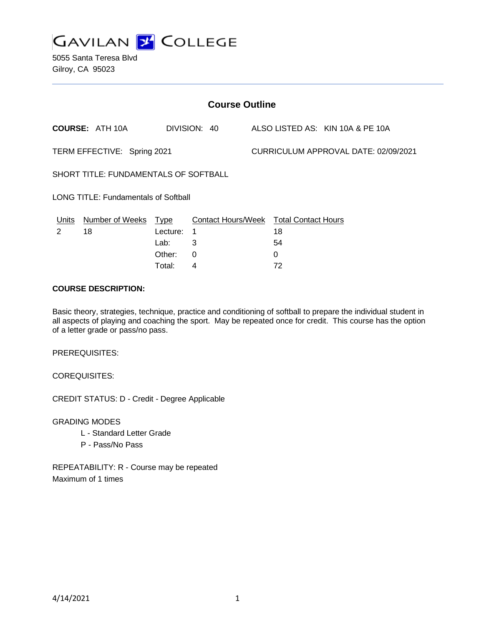

| <b>Course Outline</b>                       |                        |          |                                        |  |                                      |                                  |  |
|---------------------------------------------|------------------------|----------|----------------------------------------|--|--------------------------------------|----------------------------------|--|
|                                             | <b>COURSE: ATH 10A</b> |          | DIVISION: 40                           |  |                                      | ALSO LISTED AS: KIN 10A & PE 10A |  |
| TERM EFFECTIVE: Spring 2021                 |                        |          |                                        |  | CURRICULUM APPROVAL DATE: 02/09/2021 |                                  |  |
| SHORT TITLE: FUNDAMENTALS OF SOFTBALL       |                        |          |                                        |  |                                      |                                  |  |
| <b>LONG TITLE: Fundamentals of Softball</b> |                        |          |                                        |  |                                      |                                  |  |
| Units                                       | Number of Weeks Type   |          | Contact Hours/Week Total Contact Hours |  |                                      |                                  |  |
| 2                                           | 18                     | Lecture: | 1                                      |  | 18                                   |                                  |  |
|                                             |                        | Lab:     | 3                                      |  | 54                                   |                                  |  |
|                                             |                        | Other:   | $\Omega$                               |  | 0                                    |                                  |  |
|                                             |                        | Total:   | 4                                      |  | 72                                   |                                  |  |

### **COURSE DESCRIPTION:**

Basic theory, strategies, technique, practice and conditioning of softball to prepare the individual student in all aspects of playing and coaching the sport. May be repeated once for credit. This course has the option of a letter grade or pass/no pass.

PREREQUISITES:

COREQUISITES:

CREDIT STATUS: D - Credit - Degree Applicable

GRADING MODES

- L Standard Letter Grade
- P Pass/No Pass

REPEATABILITY: R - Course may be repeated Maximum of 1 times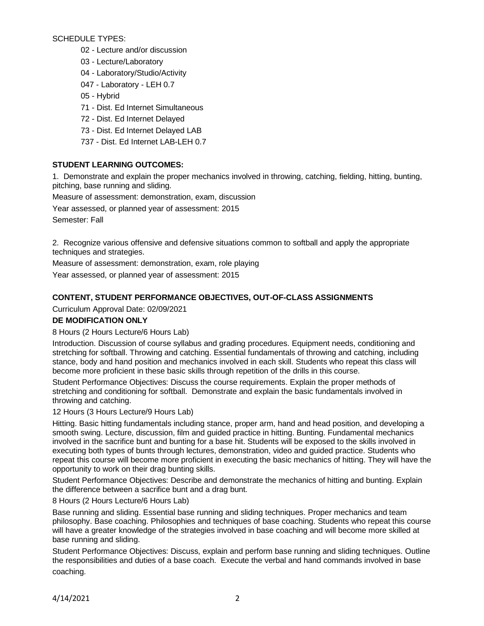SCHEDULE TYPES:

- 02 Lecture and/or discussion
- 03 Lecture/Laboratory
- 04 Laboratory/Studio/Activity
- 047 Laboratory LEH 0.7
- 05 Hybrid
- 71 Dist. Ed Internet Simultaneous
- 72 Dist. Ed Internet Delayed
- 73 Dist. Ed Internet Delayed LAB
- 737 Dist. Ed Internet LAB-LEH 0.7

# **STUDENT LEARNING OUTCOMES:**

1. Demonstrate and explain the proper mechanics involved in throwing, catching, fielding, hitting, bunting, pitching, base running and sliding.

Measure of assessment: demonstration, exam, discussion

Year assessed, or planned year of assessment: 2015

Semester: Fall

2. Recognize various offensive and defensive situations common to softball and apply the appropriate techniques and strategies.

Measure of assessment: demonstration, exam, role playing Year assessed, or planned year of assessment: 2015

# **CONTENT, STUDENT PERFORMANCE OBJECTIVES, OUT-OF-CLASS ASSIGNMENTS**

Curriculum Approval Date: 02/09/2021

## **DE MODIFICATION ONLY**

### 8 Hours (2 Hours Lecture/6 Hours Lab)

Introduction. Discussion of course syllabus and grading procedures. Equipment needs, conditioning and stretching for softball. Throwing and catching. Essential fundamentals of throwing and catching, including stance, body and hand position and mechanics involved in each skill. Students who repeat this class will become more proficient in these basic skills through repetition of the drills in this course.

Student Performance Objectives: Discuss the course requirements. Explain the proper methods of stretching and conditioning for softball. Demonstrate and explain the basic fundamentals involved in throwing and catching.

### 12 Hours (3 Hours Lecture/9 Hours Lab)

Hitting. Basic hitting fundamentals including stance, proper arm, hand and head position, and developing a smooth swing. Lecture, discussion, film and guided practice in hitting. Bunting. Fundamental mechanics involved in the sacrifice bunt and bunting for a base hit. Students will be exposed to the skills involved in executing both types of bunts through lectures, demonstration, video and guided practice. Students who repeat this course will become more proficient in executing the basic mechanics of hitting. They will have the opportunity to work on their drag bunting skills.

Student Performance Objectives: Describe and demonstrate the mechanics of hitting and bunting. Explain the difference between a sacrifice bunt and a drag bunt.

8 Hours (2 Hours Lecture/6 Hours Lab)

Base running and sliding. Essential base running and sliding techniques. Proper mechanics and team philosophy. Base coaching. Philosophies and techniques of base coaching. Students who repeat this course will have a greater knowledge of the strategies involved in base coaching and will become more skilled at base running and sliding.

Student Performance Objectives: Discuss, explain and perform base running and sliding techniques. Outline the responsibilities and duties of a base coach. Execute the verbal and hand commands involved in base coaching.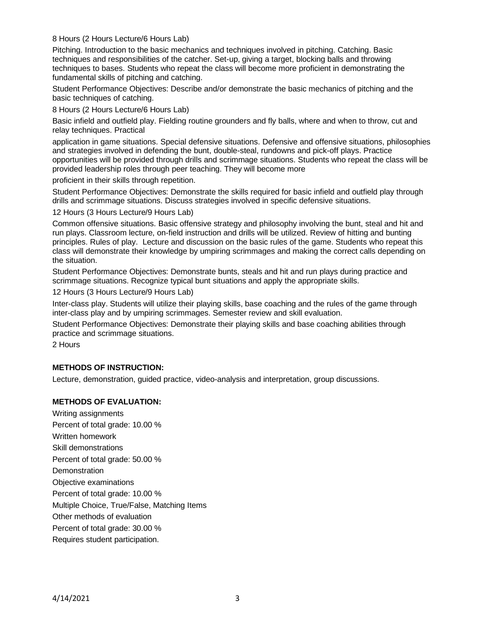### 8 Hours (2 Hours Lecture/6 Hours Lab)

Pitching. Introduction to the basic mechanics and techniques involved in pitching. Catching. Basic techniques and responsibilities of the catcher. Set-up, giving a target, blocking balls and throwing techniques to bases. Students who repeat the class will become more proficient in demonstrating the fundamental skills of pitching and catching.

Student Performance Objectives: Describe and/or demonstrate the basic mechanics of pitching and the basic techniques of catching.

8 Hours (2 Hours Lecture/6 Hours Lab)

Basic infield and outfield play. Fielding routine grounders and fly balls, where and when to throw, cut and relay techniques. Practical

application in game situations. Special defensive situations. Defensive and offensive situations, philosophies and strategies involved in defending the bunt, double-steal, rundowns and pick-off plays. Practice opportunities will be provided through drills and scrimmage situations. Students who repeat the class will be provided leadership roles through peer teaching. They will become more

proficient in their skills through repetition.

Student Performance Objectives: Demonstrate the skills required for basic infield and outfield play through drills and scrimmage situations. Discuss strategies involved in specific defensive situations.

12 Hours (3 Hours Lecture/9 Hours Lab)

Common offensive situations. Basic offensive strategy and philosophy involving the bunt, steal and hit and run plays. Classroom lecture, on-field instruction and drills will be utilized. Review of hitting and bunting principles. Rules of play. Lecture and discussion on the basic rules of the game. Students who repeat this class will demonstrate their knowledge by umpiring scrimmages and making the correct calls depending on the situation.

Student Performance Objectives: Demonstrate bunts, steals and hit and run plays during practice and scrimmage situations. Recognize typical bunt situations and apply the appropriate skills.

12 Hours (3 Hours Lecture/9 Hours Lab)

Inter-class play. Students will utilize their playing skills, base coaching and the rules of the game through inter-class play and by umpiring scrimmages. Semester review and skill evaluation.

Student Performance Objectives: Demonstrate their playing skills and base coaching abilities through practice and scrimmage situations.

2 Hours

### **METHODS OF INSTRUCTION:**

Lecture, demonstration, guided practice, video-analysis and interpretation, group discussions.

### **METHODS OF EVALUATION:**

Writing assignments Percent of total grade: 10.00 % Written homework Skill demonstrations Percent of total grade: 50.00 % **Demonstration** Objective examinations Percent of total grade: 10.00 % Multiple Choice, True/False, Matching Items Other methods of evaluation Percent of total grade: 30.00 % Requires student participation.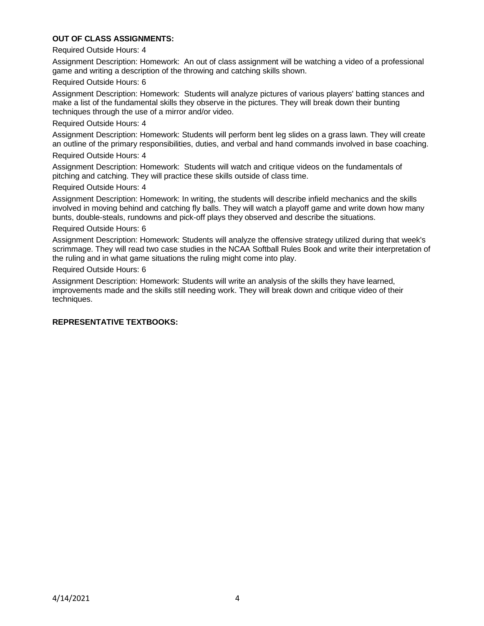### **OUT OF CLASS ASSIGNMENTS:**

#### Required Outside Hours: 4

Assignment Description: Homework: An out of class assignment will be watching a video of a professional game and writing a description of the throwing and catching skills shown.

#### Required Outside Hours: 6

Assignment Description: Homework: Students will analyze pictures of various players' batting stances and make a list of the fundamental skills they observe in the pictures. They will break down their bunting techniques through the use of a mirror and/or video.

#### Required Outside Hours: 4

Assignment Description: Homework: Students will perform bent leg slides on a grass lawn. They will create an outline of the primary responsibilities, duties, and verbal and hand commands involved in base coaching.

#### Required Outside Hours: 4

Assignment Description: Homework: Students will watch and critique videos on the fundamentals of pitching and catching. They will practice these skills outside of class time.

#### Required Outside Hours: 4

Assignment Description: Homework: In writing, the students will describe infield mechanics and the skills involved in moving behind and catching fly balls. They will watch a playoff game and write down how many bunts, double-steals, rundowns and pick-off plays they observed and describe the situations.

#### Required Outside Hours: 6

Assignment Description: Homework: Students will analyze the offensive strategy utilized during that week's scrimmage. They will read two case studies in the NCAA Softball Rules Book and write their interpretation of the ruling and in what game situations the ruling might come into play.

#### Required Outside Hours: 6

Assignment Description: Homework: Students will write an analysis of the skills they have learned, improvements made and the skills still needing work. They will break down and critique video of their techniques.

### **REPRESENTATIVE TEXTBOOKS:**